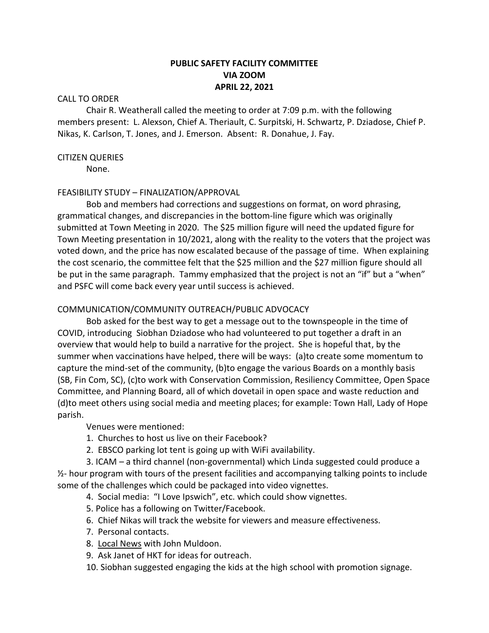# **PUBLIC SAFETY FACILITY COMMITTEE VIA ZOOM APRIL 22, 2021**

### CALL TO ORDER

Chair R. Weatherall called the meeting to order at 7:09 p.m. with the following members present: L. Alexson, Chief A. Theriault, C. Surpitski, H. Schwartz, P. Dziadose, Chief P. Nikas, K. Carlson, T. Jones, and J. Emerson. Absent: R. Donahue, J. Fay.

#### CITIZEN QUERIES

None.

### FEASIBILITY STUDY – FINALIZATION/APPROVAL

Bob and members had corrections and suggestions on format, on word phrasing, grammatical changes, and discrepancies in the bottom-line figure which was originally submitted at Town Meeting in 2020. The \$25 million figure will need the updated figure for Town Meeting presentation in 10/2021, along with the reality to the voters that the project was voted down, and the price has now escalated because of the passage of time. When explaining the cost scenario, the committee felt that the \$25 million and the \$27 million figure should all be put in the same paragraph. Tammy emphasized that the project is not an "if" but a "when" and PSFC will come back every year until success is achieved.

### COMMUNICATION/COMMUNITY OUTREACH/PUBLIC ADVOCACY

Bob asked for the best way to get a message out to the townspeople in the time of COVID, introducing Siobhan Dziadose who had volunteered to put together a draft in an overview that would help to build a narrative for the project. She is hopeful that, by the summer when vaccinations have helped, there will be ways: (a)to create some momentum to capture the mind-set of the community, (b)to engage the various Boards on a monthly basis (SB, Fin Com, SC), (c)to work with Conservation Commission, Resiliency Committee, Open Space Committee, and Planning Board, all of which dovetail in open space and waste reduction and (d)to meet others using social media and meeting places; for example: Town Hall, Lady of Hope parish.

Venues were mentioned:

- 1. Churches to host us live on their Facebook?
- 2. EBSCO parking lot tent is going up with WiFi availability.

3. ICAM – a third channel (non-governmental) which Linda suggested could produce a  $\frac{1}{2}$ - hour program with tours of the present facilities and accompanying talking points to include some of the challenges which could be packaged into video vignettes.

- 4. Social media: "I Love Ipswich", etc. which could show vignettes.
- 5. Police has a following on Twitter/Facebook.
- 6. Chief Nikas will track the website for viewers and measure effectiveness.
- 7. Personal contacts.
- 8. Local News with John Muldoon.
- 9. Ask Janet of HKT for ideas for outreach.
- 10. Siobhan suggested engaging the kids at the high school with promotion signage.